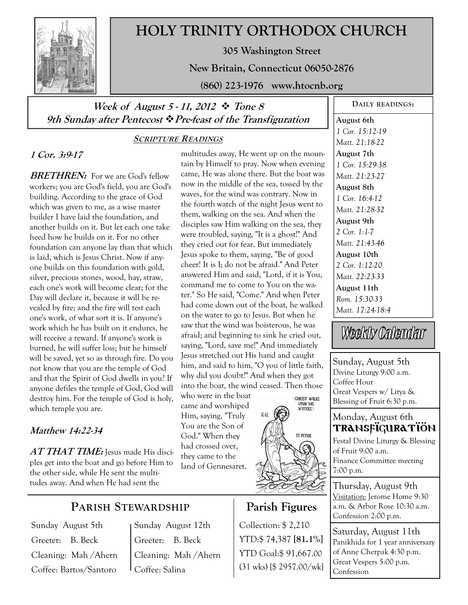

# **HOLY TRINITY ORTHODOX CHURCH**

**305 Washington Street** 

**New Britain, Connecticut 06050-2876** 

**(860) 223-1976 www.htocnb.org** 

# **Week of August 5 - 11, 2012 Tone 8 9th Sunday after Pentecost Pre-feast of the Transfiguration**

## **SCRIPTURE READINGS**

## **1 Cor. 3:9-17**

**BRETHREN:** For we are God's fellow workers; you are God's field, you are God's building. According to the grace of God which was given to me, as a wise master builder I have laid the foundation, and another builds on it. But let each one take heed how he builds on it. For no other foundation can anyone lay than that which is laid, which is Jesus Christ. Now if anyone builds on this foundation with gold, silver, precious stones, wood, hay, straw, each one's work will become clear; for the Day will declare it, because it will be revealed by fire; and the fire will test each one's work, of what sort it is. If anyone's work which he has built on it endures, he will receive a reward. If anyone's work is burned, he will suffer loss; but he himself will be saved, yet so as through fire. Do you not know that you are the temple of God and that the Spirit of God dwells in you? If anyone defiles the temple of God, God will destroy him. For the temple of God is holy, which temple you are.

## **Matthew 14:22-34**

**AT THAT TIME:** Jesus made His disciples get into the boat and go before Him to the other side, while He sent the multitudes away. And when He had sent the

# **PARISH STEWARDSHIP**

Sunday August 5th Greeter: B. Beck Cleaning: Mah /Ahern Coffee: Bartos/Santoro

Sunday August 12th Greeter: B. Beck Cleaning: Mah /Ahern Coffee: Salina

multitudes away, He went up on the mountain by Himself to pray. Now when evening came, He was alone there. But the boat was now in the middle of the sea, tossed by the waves, for the wind was contrary. Now in the fourth watch of the night Jesus went to them, walking on the sea. And when the disciples saw Him walking on the sea, they were troubled, saying, "It is a ghost!" And they cried out for fear. But immediately Jesus spoke to them, saying, "Be of good cheer! It is I; do not be afraid." And Peter answered Him and said, "Lord, if it is You, command me to come to You on the water." So He said, "Come." And when Peter had come down out of the boat, he walked on the water to go to Jesus. But when he saw that the wind was boisterous, he was afraid; and beginning to sink he cried out, saying, "Lord, save me!" And immediately Jesus stretched out His hand and caught him, and said to him, "O you of little faith, why did you doubt?" And when they got into the boat, the wind ceased. Then those

who were in the boat came and worshiped Him, saying, "Truly You are the Son of God." When they had crossed over, they came to the land of Gennesaret.

Monday, August 6th Transfiguration

Festal Divine Liturgy & Blessing of Fruit 9:00 a.m. Finance Committee meeting 7:00 p.m.

Thursday, August 9th Visitation: Jerome Home 9:30 a.m. & Arbor Rose 10:30 a.m. Confession 2:00 p.m.

Saturday, August 11th Panikhida for 1 year anniversary of Anne Cherpak 4:30 p.m. Great Vespers 5:00 p.m. Confession



**Parish Figures** 

YTD:\$ 74,387 **[81.1%]** YTD Goal:\$ 91,667.00 (31 wks) [\$ 2957.00/wk]

Collection: \$ 2,210

ić ve

## **August 6th**  *1 Cor. 15:12-19*

**DAILY READINGS:** 

*Matt. 21:18-22*  **August 7th**  *1 Cor. 15:29-38 Matt. 21:23-27*  **August 8th**  *1 Cor. 16:4-12 Matt. 21:28-32*  **August 9th**  *2 Cor. 1:1-7 Matt. 21:43-46*  **August 10th**  *2 Cor. 1:12-20 Matt. 22:23-33*  **August 11th**  *Rom. 15:30-33* 

Sunday, August 5th Divine Liturgy 9:00 a.m. Coffee Hour Great Vespers w/ Litya & Blessing of Fruit 6:30 p.m.

*Matt. 17:24-18:4* 

Weekly Calendar